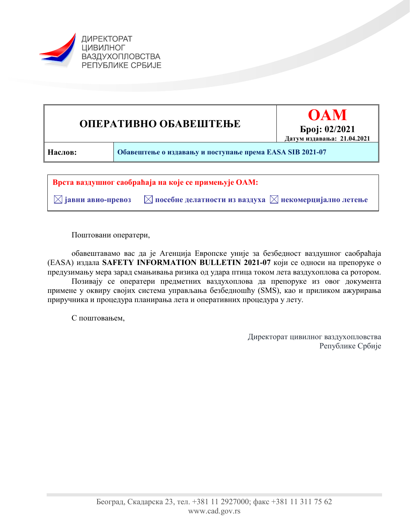



 $\boxtimes$  **јавни авио-превоз**  $\blacksquare$  **посебне делатности из ваздуха**  $\boxtimes$  **некомерцијално летење** 

Поштовани оператери,

обавештавамо вас да је Агенција Европске уније за безбедност ваздушног саобраћаја (EASA) издала **SAFETY INFORMATION BULLETIN 2021-07** који се односи на препоруке о предузимању мера зарад смањивања ризика од удара птица током лета ваздухоплова са ротором.

Позивају се оператери предметних ваздухоплова да препоруке из овог документа примене у оквиру својих система управљања безбедношћу (SMS), као и приликом ажурирања приручника и процедура планирања лета и оперативних процедура у лету.

С поштовањем,

Директорат цивилног ваздухопловства Републике Србије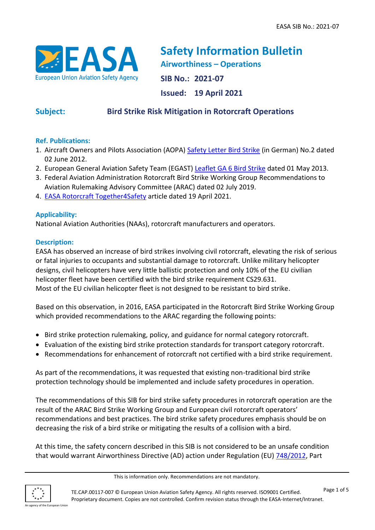

**Safety Information Bulletin Airworthiness – Operations SIB No.: 2021-07 Issued: 19 April 2021**

# **Subject: Bird Strike Risk Mitigation in Rotorcraft Operations**

# **Ref. Publications:**

- 1. Aircraft Owners and Pilots Association (AOPA) [Safety Letter Bird Strike](https://aopa.de/wp-content/uploads/02_ASL_Vogelschlag.pdf) (in German) No.2 dated 02 June 2012.
- 2. European General Aviation Safety Team (EGAST) [Leaflet GA 6 Bird Strike](https://www.easa.europa.eu/sites/default/files/dfu/EGAST_GA6-bird-strikes-final.pdf) dated 01 May 2013.
- 3. Federal Aviation Administration Rotorcraft Bird Strike Working Group [Recommendations to](https://www.faa.gov/regulations_policies/rulemaking/committees/documents/index.cfm/document/information/documentID/3964)  [Aviation Rulemaking Advisory Committee \(ARAC\)](https://www.faa.gov/regulations_policies/rulemaking/committees/documents/index.cfm/document/information/documentID/3964) dated 02 July 2019.
- 4. [EASA Rotorcraft Together4Safety](https://www.easa.europa.eu/community/topics/rotorcraft-birdstrikes) article dated 19 April 2021.

# **Applicability:**

National Aviation Authorities (NAAs), rotorcraft manufacturers and operators.

# **Description:**

EASA has observed an increase of bird strikes involving civil rotorcraft, elevating the risk of serious or fatal injuries to occupants and substantial damage to rotorcraft. Unlike military helicopter designs, civil helicopters have very little ballistic protection and only 10% of the EU civilian helicopter fleet have been certified with the bird strike requirement CS29.631. Most of the EU civilian helicopter fleet is not designed to be resistant to bird strike.

Based on this observation, in 2016, EASA participated in the Rotorcraft Bird Strike Working Group which provided recommendations to the ARAC regarding the following points:

- Bird strike protection rulemaking, policy, and guidance for normal category rotorcraft.
- Evaluation of the existing bird strike protection standards for transport category rotorcraft.
- Recommendations for enhancement of rotorcraft not certified with a bird strike requirement.

As part of the recommendations, it was requested that existing non-traditional bird strike protection technology should be implemented and include safety procedures in operation.

The recommendations of this SIB for bird strike safety procedures in rotorcraft operation are the result of the ARAC Bird Strike Working Group and European civil rotorcraft operators' recommendations and best practices. The bird strike safety procedures emphasis should be on decreasing the risk of a bird strike or mitigating the results of a collision with a bird.

At this time, the safety concern described in this SIB is not considered to be an unsafe condition that would warrant Airworthiness Directive (AD) action under Regulation (EU) [748/2012,](https://eur-lex.europa.eu/LexUriServ/LexUriServ.do?uri=OJ:L:2012:224:0001:0085:EN:PDF) Part

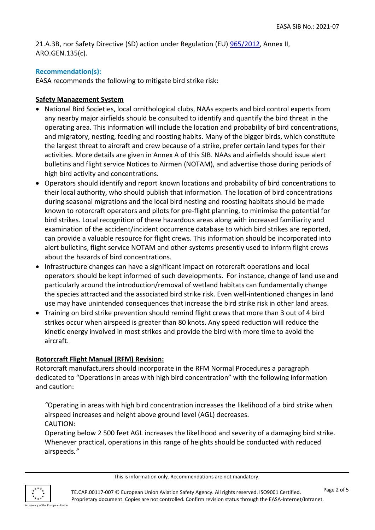21.A.3B, nor Safety Directive (SD) action under Regulation (EU) [965/2012,](https://eur-lex.europa.eu/LexUriServ/LexUriServ.do?uri=OJ:L:2012:296:0001:0148:EN:PDF) Annex II, ARO.GEN.135(c).

#### **Recommendation(s):**

EASA recommends the following to mitigate bird strike risk:

#### **Safety Management System**

- National Bird Societies, local ornithological clubs, NAAs experts and bird control experts from any nearby major airfields should be consulted to identify and quantify the bird threat in the operating area. This information will include the location and probability of bird concentrations, and migratory, nesting, feeding and roosting habits. Many of the bigger birds, which constitute the largest threat to aircraft and crew because of a strike, prefer certain land types for their activities. More details are given in Annex A of this SIB. NAAs and airfields should issue alert bulletins and flight service Notices to Airmen (NOTAM), and advertise those during periods of high bird activity and concentrations.
- Operators should identify and report known locations and probability of bird concentrations to their local authority, who should publish that information. The location of bird concentrations during seasonal migrations and the local bird nesting and roosting habitats should be made known to rotorcraft operators and pilots for pre-flight planning, to minimise the potential for bird strikes. Local recognition of these hazardous areas along with increased familiarity and examination of the accident/incident occurrence database to which bird strikes are reported, can provide a valuable resource for flight crews. This information should be incorporated into alert bulletins, flight service NOTAM and other systems presently used to inform flight crews about the hazards of bird concentrations.
- Infrastructure changes can have a significant impact on rotorcraft operations and local operators should be kept informed of such developments. For instance, change of land use and particularly around the introduction/removal of wetland habitats can fundamentally change the species attracted and the associated bird strike risk. Even well-intentioned changes in land use may have unintended consequences that increase the bird strike risk in other land areas.
- Training on bird strike prevention should remind flight crews that more than 3 out of 4 bird strikes occur when airspeed is greater than 80 knots. Any speed reduction will reduce the kinetic energy involved in most strikes and provide the bird with more time to avoid the aircraft.

#### **Rotorcraft Flight Manual (RFM) Revision:**

Rotorcraft manufacturers should incorporate in the RFM Normal Procedures a paragraph dedicated to "Operations in areas with high bird concentration" with the following information and caution:

*"*Operating in areas with high bird concentration increases the likelihood of a bird strike when airspeed increases and height above ground level (AGL) decreases. CAUTION:

Operating below 2 500 feet AGL increases the likelihood and severity of a damaging bird strike. Whenever practical, operations in this range of heights should be conducted with reduced airspeeds*."*

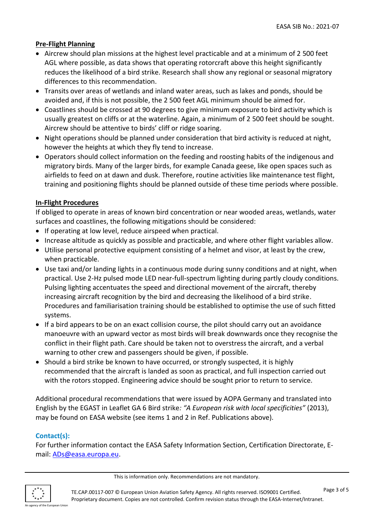# **Pre-Flight Planning**

- Aircrew should plan missions at the highest level practicable and at a minimum of 2 500 feet AGL where possible, as data shows that operating rotorcraft above this height significantly reduces the likelihood of a bird strike. Research shall show any regional or seasonal migratory differences to this recommendation.
- Transits over areas of wetlands and inland water areas, such as lakes and ponds, should be avoided and, if this is not possible, the 2 500 feet AGL minimum should be aimed for.
- Coastlines should be crossed at 90 degrees to give minimum exposure to bird activity which is usually greatest on cliffs or at the waterline. Again, a minimum of 2 500 feet should be sought. Aircrew should be attentive to birds' cliff or ridge soaring.
- Night operations should be planned under consideration that bird activity is reduced at night, however the heights at which they fly tend to increase.
- Operators should collect information on the feeding and roosting habits of the indigenous and migratory birds. Many of the larger birds, for example Canada geese, like open spaces such as airfields to feed on at dawn and dusk. Therefore, routine activities like maintenance test flight, training and positioning flights should be planned outside of these time periods where possible.

#### **In-Flight Procedures**

If obliged to operate in areas of known bird concentration or near wooded areas, wetlands, water surfaces and coastlines, the following mitigations should be considered:

- If operating at low level, reduce airspeed when practical.
- Increase altitude as quickly as possible and practicable, and where other flight variables allow.
- Utilise personal protective equipment consisting of a helmet and visor, at least by the crew, when practicable.
- Use taxi and/or landing lights in a continuous mode during sunny conditions and at night, when practical. Use 2-Hz pulsed mode LED near-full-spectrum lighting during partly cloudy conditions. Pulsing lighting accentuates the speed and directional movement of the aircraft, thereby increasing aircraft recognition by the bird and decreasing the likelihood of a bird strike. Procedures and familiarisation training should be established to optimise the use of such fitted systems.
- If a bird appears to be on an exact collision course, the pilot should carry out an avoidance manoeuvre with an upward vector as most birds will break downwards once they recognise the conflict in their flight path. Care should be taken not to overstress the aircraft, and a verbal warning to other crew and passengers should be given, if possible.
- Should a bird strike be known to have occurred, or strongly suspected, it is highly recommended that the aircraft is landed as soon as practical, and full inspection carried out with the rotors stopped. Engineering advice should be sought prior to return to service.

Additional procedural recommendations that were issued by AOPA Germany and translated into English by the EGAST in Leaflet GA 6 Bird strike*: "A European risk with local specificities"* (2013), may be found on EASA website (see items 1 and 2 in Ref. Publications above).

#### **Contact(s):**

For further information contact the EASA Safety Information Section, Certification Directorate, Email: [ADs@easa.europa.eu.](mailto:ADs@easa.europa.eu)

This is information only. Recommendations are not mandatory.

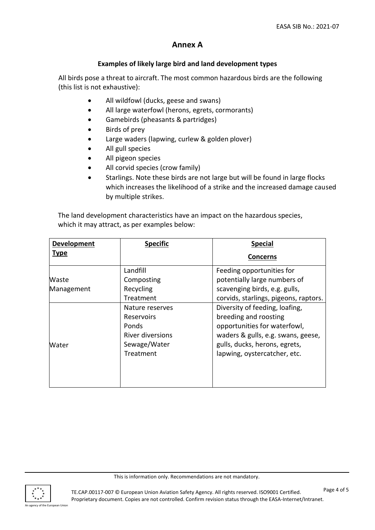# **Annex A**

### **Examples of likely large bird and land development types**

All birds pose a threat to aircraft. The most common hazardous birds are the following (this list is not exhaustive):

- All wildfowl (ducks, geese and swans)
- All large waterfowl (herons, egrets, cormorants)
- Gamebirds (pheasants & partridges)
- Birds of prey
- Large waders (lapwing, curlew & golden plover)
- All gull species
- All pigeon species
- All corvid species (crow family)
- Starlings. Note these birds are not large but will be found in large flocks which increases the likelihood of a strike and the increased damage caused by multiple strikes.

The land development characteristics have an impact on the hazardous species, which it may attract, as per examples below:

| Development | <b>Specific</b>   | <b>Special</b>                        |
|-------------|-------------------|---------------------------------------|
| <b>Type</b> |                   | <b>Concerns</b>                       |
|             | Landfill          | Feeding opportunities for             |
| Waste       | Composting        | potentially large numbers of          |
| Management  | Recycling         | scavenging birds, e.g. gulls,         |
|             | Treatment         | corvids, starlings, pigeons, raptors. |
|             | Nature reserves   | Diversity of feeding, loafing,        |
|             | <b>Reservoirs</b> | breeding and roosting                 |
|             | Ponds             | opportunities for waterfowl,          |
|             | River diversions  | waders & gulls, e.g. swans, geese,    |
| Water       | Sewage/Water      | gulls, ducks, herons, egrets,         |
|             | Treatment         | lapwing, oystercatcher, etc.          |
|             |                   |                                       |
|             |                   |                                       |
|             |                   |                                       |